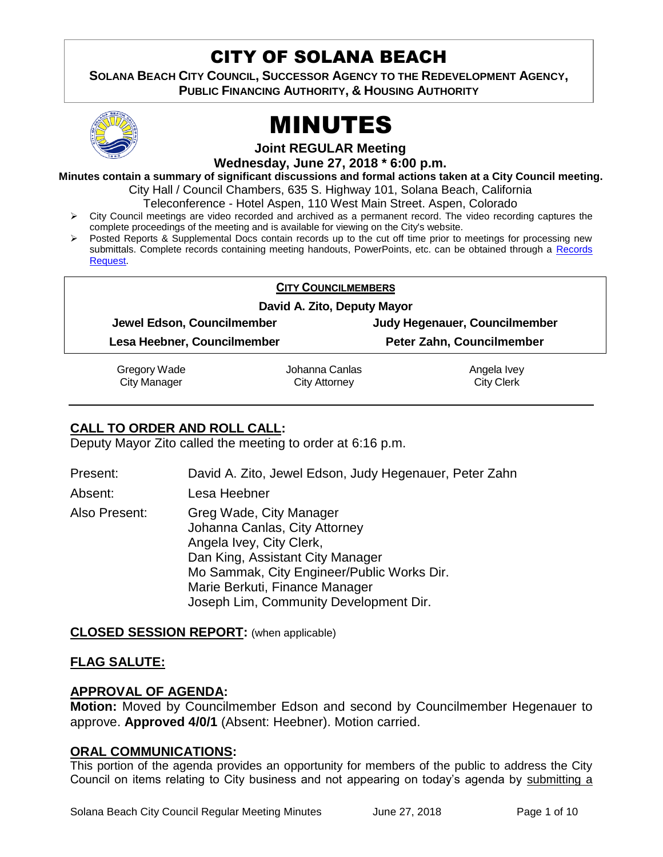# CITY OF SOLANA BEACH

**SOLANA BEACH CITY COUNCIL, SUCCESSOR AGENCY TO THE REDEVELOPMENT AGENCY, PUBLIC FINANCING AUTHORITY, & HOUSING AUTHORITY** 



# MINUTES

**Joint REGULAR Meeting**

**Wednesday, June 27, 2018 \* 6:00 p.m.**

**Minutes contain a summary of significant discussions and formal actions taken at a City Council meeting.**

City Hall / Council Chambers, 635 S. Highway 101, Solana Beach, California

Teleconference - Hotel Aspen, 110 West Main Street. Aspen, Colorado

- $\triangleright$  City Council meetings are video recorded and archived as a permanent record. The video recording captures the complete proceedings of the meeting and is available for viewing on the City's website.
- Posted Reports & Supplemental Docs contain records up to the cut off time prior to meetings for processing new submittals. Complete records containing meeting handouts, PowerPoints, etc. can be obtained through a Records [Request.](http://www.ci.solana-beach.ca.us/index.asp?SEC=F5D45D10-70CE-4291-A27C-7BD633FC6742&Type=B_BASIC)

### **CITY COUNCILMEMBERS**

### **David A. Zito, Deputy Mayor**

**Jewel Edson, Councilmember Judy Hegenauer, Councilmember**

**Lesa Heebner, Councilmember Peter Zahn, Councilmember**

Gregory Wade

City Manager

Johanna Canlas City Attorney

Angela Ivey City Clerk

# **CALL TO ORDER AND ROLL CALL:**

Deputy Mayor Zito called the meeting to order at 6:16 p.m.

Present: David A. Zito, Jewel Edson, Judy Hegenauer, Peter Zahn

Absent: Lesa Heebner

Also Present: Greg Wade, City Manager Johanna Canlas, City Attorney Angela Ivey, City Clerk, Dan King, Assistant City Manager Mo Sammak, City Engineer/Public Works Dir. Marie Berkuti, Finance Manager Joseph Lim, Community Development Dir.

# **CLOSED SESSION REPORT:** (when applicable)

# **FLAG SALUTE:**

# **APPROVAL OF AGENDA:**

**Motion:** Moved by Councilmember Edson and second by Councilmember Hegenauer to approve. **Approved 4/0/1** (Absent: Heebner). Motion carried.

# **ORAL COMMUNICATIONS:**

This portion of the agenda provides an opportunity for members of the public to address the City Council on items relating to City business and not appearing on today's agenda by submitting a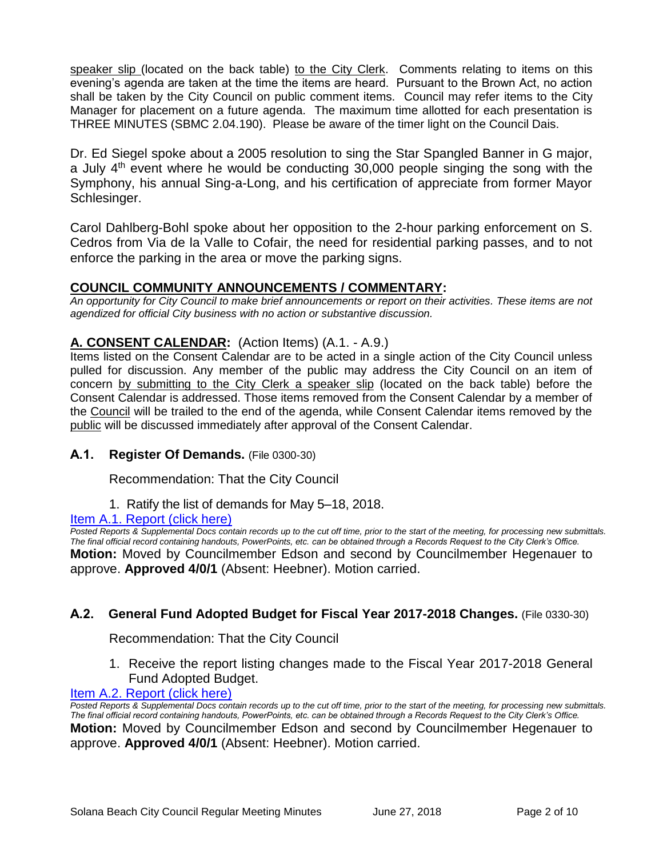speaker slip (located on the back table) to the City Clerk. Comments relating to items on this evening's agenda are taken at the time the items are heard. Pursuant to the Brown Act, no action shall be taken by the City Council on public comment items. Council may refer items to the City Manager for placement on a future agenda. The maximum time allotted for each presentation is THREE MINUTES (SBMC 2.04.190). Please be aware of the timer light on the Council Dais.

Dr. Ed Siegel spoke about a 2005 resolution to sing the Star Spangled Banner in G major, a July  $4<sup>th</sup>$  event where he would be conducting 30,000 people singing the song with the Symphony, his annual Sing-a-Long, and his certification of appreciate from former Mayor Schlesinger.

Carol Dahlberg-Bohl spoke about her opposition to the 2-hour parking enforcement on S. Cedros from Via de la Valle to Cofair, the need for residential parking passes, and to not enforce the parking in the area or move the parking signs.

# **COUNCIL COMMUNITY ANNOUNCEMENTS / COMMENTARY:**

*An opportunity for City Council to make brief announcements or report on their activities. These items are not agendized for official City business with no action or substantive discussion.* 

# **A. CONSENT CALENDAR:** (Action Items) (A.1. - A.9.)

Items listed on the Consent Calendar are to be acted in a single action of the City Council unless pulled for discussion. Any member of the public may address the City Council on an item of concern by submitting to the City Clerk a speaker slip (located on the back table) before the Consent Calendar is addressed. Those items removed from the Consent Calendar by a member of the Council will be trailed to the end of the agenda, while Consent Calendar items removed by the public will be discussed immediately after approval of the Consent Calendar.

# **A.1. Register Of Demands.** (File 0300-30)

Recommendation: That the City Council

1. Ratify the list of demands for May 5–18, 2018.

[Item A.1. Report \(click here\)](https://solanabeach.govoffice3.com/vertical/Sites/%7B840804C2-F869-4904-9AE3-720581350CE7%7D/uploads/Item_A.1._Report_(click_here)_-06-27-18.PDF)

**Posted Reports & Supplemental Docs contain records up to the cut off time, prior to the start of the meeting, for processing new submittals.** *The final official record containing handouts, PowerPoints, etc. can be obtained through a Records Request to the City Clerk's Office.* **Motion:** Moved by Councilmember Edson and second by Councilmember Hegenauer to approve. **Approved 4/0/1** (Absent: Heebner). Motion carried.

# **A.2. General Fund Adopted Budget for Fiscal Year 2017-2018 Changes.** (File 0330-30)

Recommendation: That the City Council

1. Receive the report listing changes made to the Fiscal Year 2017-2018 General Fund Adopted Budget.

#### [Item A.2. Report \(click here\)](https://solanabeach.govoffice3.com/vertical/Sites/%7B840804C2-F869-4904-9AE3-720581350CE7%7D/uploads/Item_A.2._Report_(click_here)_-06-27-18.PDF)

*Posted Reports & Supplemental Docs contain records up to the cut off time, prior to the start of the meeting, for processing new submittals. The final official record containing handouts, PowerPoints, etc. can be obtained through a Records Request to the City Clerk's Office.* **Motion:** Moved by Councilmember Edson and second by Councilmember Hegenauer to approve. **Approved 4/0/1** (Absent: Heebner). Motion carried.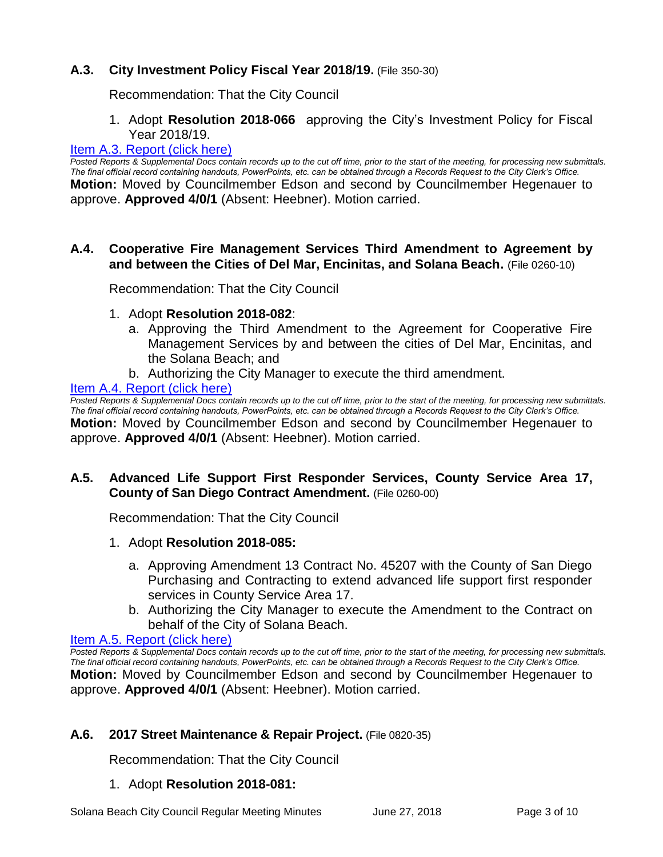# **A.3. City Investment Policy Fiscal Year 2018/19.** (File 350-30)

Recommendation: That the City Council

1. Adopt **Resolution 2018-066** approving the City's Investment Policy for Fiscal Year 2018/19.

#### [Item A.3. Report \(click here\)](https://solanabeach.govoffice3.com/vertical/Sites/%7B840804C2-F869-4904-9AE3-720581350CE7%7D/uploads/Item_A.3._Report_(click_here)_-06-27-18.PDF)

*Posted Reports & Supplemental Docs contain records up to the cut off time, prior to the start of the meeting, for processing new submittals. The final official record containing handouts, PowerPoints, etc. can be obtained through a Records Request to the City Clerk's Office.* **Motion:** Moved by Councilmember Edson and second by Councilmember Hegenauer to approve. **Approved 4/0/1** (Absent: Heebner). Motion carried.

### **A.4. Cooperative Fire Management Services Third Amendment to Agreement by and between the Cities of Del Mar, Encinitas, and Solana Beach.** (File 0260-10)

Recommendation: That the City Council

- 1. Adopt **Resolution 2018-082**:
	- a. Approving the Third Amendment to the Agreement for Cooperative Fire Management Services by and between the cities of Del Mar, Encinitas, and the Solana Beach; and
	- b. Authorizing the City Manager to execute the third amendment.

#### [Item A.4. Report \(click here\)](https://solanabeach.govoffice3.com/vertical/Sites/%7B840804C2-F869-4904-9AE3-720581350CE7%7D/uploads/Item_A.4._Report_(click_here)_-06-27-18.PDF)

*Posted Reports & Supplemental Docs contain records up to the cut off time, prior to the start of the meeting, for processing new submittals. The final official record containing handouts, PowerPoints, etc. can be obtained through a Records Request to the City Clerk's Office.* **Motion:** Moved by Councilmember Edson and second by Councilmember Hegenauer to approve. **Approved 4/0/1** (Absent: Heebner). Motion carried.

# **A.5. Advanced Life Support First Responder Services, County Service Area 17, County of San Diego Contract Amendment.** (File 0260-00)

Recommendation: That the City Council

- 1. Adopt **Resolution 2018-085:**
	- a. Approving Amendment 13 Contract No. 45207 with the County of San Diego Purchasing and Contracting to extend advanced life support first responder services in County Service Area 17.
	- b. Authorizing the City Manager to execute the Amendment to the Contract on behalf of the City of Solana Beach.

## Item A.5. Report (click here)

*Posted Reports & Supplemental Docs contain records up to the cut off time, prior to the start of the meeting, for processing new submittals. The final official record containing handouts, PowerPoints, etc. can be obtained through a Records Request to the City Clerk's Office.* **Motion:** Moved by Councilmember Edson and second by Councilmember Hegenauer to approve. **Approved 4/0/1** (Absent: Heebner). Motion carried.

# **A.6. 2017 Street Maintenance & Repair Project.** (File 0820-35)

Recommendation: That the City Council

# 1. Adopt **Resolution 2018-081:**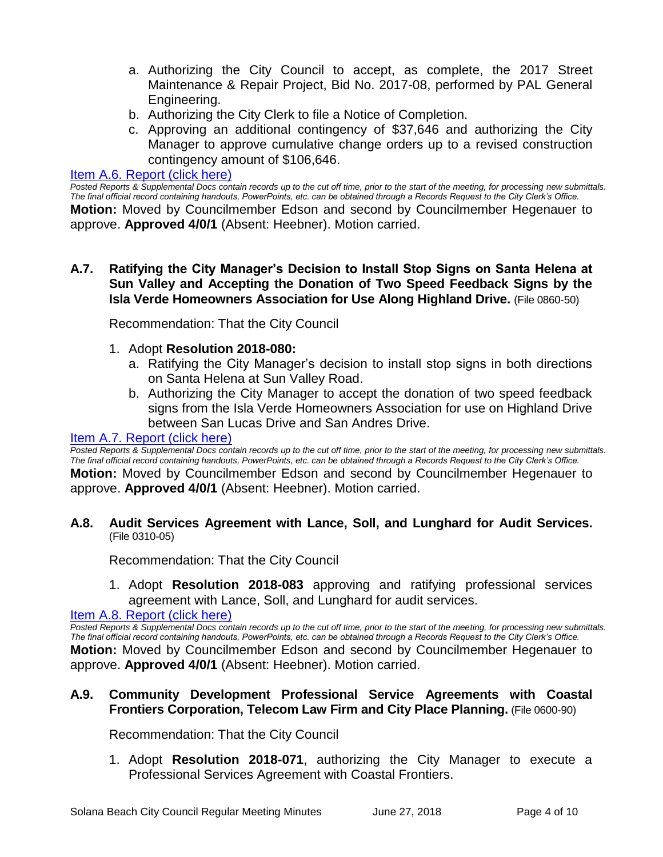- a. Authorizing the City Council to accept, as complete, the 2017 Street Maintenance & Repair Project, Bid No. 2017-08, performed by PAL General Engineering.
- b. Authorizing the City Clerk to file a Notice of Completion.
- c. Approving an additional contingency of \$37,646 and authorizing the City Manager to approve cumulative change orders up to a revised construction contingency amount of \$106,646.

#### [Item A.6. Report \(click here\)](https://solanabeach.govoffice3.com/vertical/Sites/%7B840804C2-F869-4904-9AE3-720581350CE7%7D/uploads/Item_A.6._Report_(click_here)_-06-27-18.PDF)

*Posted Reports & Supplemental Docs contain records up to the cut off time, prior to the start of the meeting, for processing new submittals. The final official record containing handouts, PowerPoints, etc. can be obtained through a Records Request to the City Clerk's Office.* **Motion:** Moved by Councilmember Edson and second by Councilmember Hegenauer to approve. **Approved 4/0/1** (Absent: Heebner). Motion carried.

## **A.7. Ratifying the City Manager's Decision to Install Stop Signs on Santa Helena at Sun Valley and Accepting the Donation of Two Speed Feedback Signs by the Isla Verde Homeowners Association for Use Along Highland Drive.** (File 0860-50)

Recommendation: That the City Council

- 1. Adopt **Resolution 2018-080:**
	- a. Ratifying the City Manager's decision to install stop signs in both directions on Santa Helena at Sun Valley Road.
	- b. Authorizing the City Manager to accept the donation of two speed feedback signs from the Isla Verde Homeowners Association for use on Highland Drive between San Lucas Drive and San Andres Drive.

#### [Item A.7. Report \(click here\)](https://solanabeach.govoffice3.com/vertical/Sites/%7B840804C2-F869-4904-9AE3-720581350CE7%7D/uploads/Item_A.7._Report_(click_here)_-06-27-18.PDF)

*Posted Reports & Supplemental Docs contain records up to the cut off time, prior to the start of the meeting, for processing new submittals. The final official record containing handouts, PowerPoints, etc. can be obtained through a Records Request to the City Clerk's Office.*

**Motion:** Moved by Councilmember Edson and second by Councilmember Hegenauer to approve. **Approved 4/0/1** (Absent: Heebner). Motion carried.

#### **A.8. Audit Services Agreement with Lance, Soll, and Lunghard for Audit Services.** (File 0310-05)

Recommendation: That the City Council

1. Adopt **Resolution 2018-083** approving and ratifying professional services agreement with Lance, Soll, and Lunghard for audit services.

[Item A.8. Report \(click here\)](https://solanabeach.govoffice3.com/vertical/Sites/%7B840804C2-F869-4904-9AE3-720581350CE7%7D/uploads/Item_A.8._Report_(click_here)_-06-27-18.PDF)

*Posted Reports & Supplemental Docs contain records up to the cut off time, prior to the start of the meeting, for processing new submittals. The final official record containing handouts, PowerPoints, etc. can be obtained through a Records Request to the City Clerk's Office.* **Motion:** Moved by Councilmember Edson and second by Councilmember Hegenauer to approve. **Approved 4/0/1** (Absent: Heebner). Motion carried.

# **A.9. Community Development Professional Service Agreements with Coastal Frontiers Corporation, Telecom Law Firm and City Place Planning.** (File 0600-90)

Recommendation: That the City Council

1. Adopt **Resolution 2018-071**, authorizing the City Manager to execute a Professional Services Agreement with Coastal Frontiers.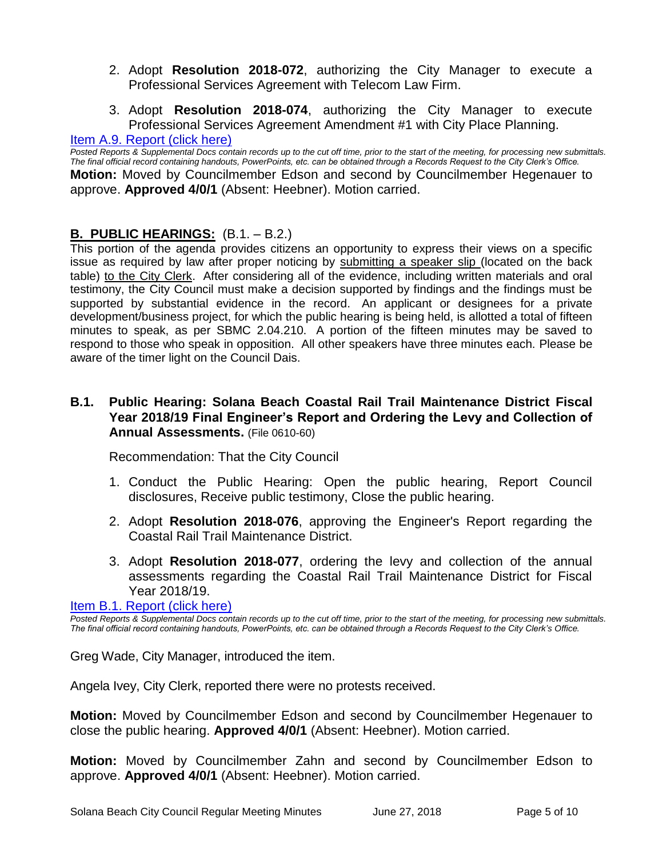- 2. Adopt **Resolution 2018-072**, authorizing the City Manager to execute a Professional Services Agreement with Telecom Law Firm.
- 3. Adopt **Resolution 2018-074**, authorizing the City Manager to execute Professional Services Agreement Amendment #1 with City Place Planning.

#### [Item A.9. Report \(click here\)](https://solanabeach.govoffice3.com/vertical/Sites/%7B840804C2-F869-4904-9AE3-720581350CE7%7D/uploads/Item_A.9._Report_(click_here)_-06-27-18.PDF)

*Posted Reports & Supplemental Docs contain records up to the cut off time, prior to the start of the meeting, for processing new submittals. The final official record containing handouts, PowerPoints, etc. can be obtained through a Records Request to the City Clerk's Office.* **Motion:** Moved by Councilmember Edson and second by Councilmember Hegenauer to approve. **Approved 4/0/1** (Absent: Heebner). Motion carried.

# **B. PUBLIC HEARINGS:** (B.1. – B.2.)

This portion of the agenda provides citizens an opportunity to express their views on a specific issue as required by law after proper noticing by submitting a speaker slip (located on the back table) to the City Clerk. After considering all of the evidence, including written materials and oral testimony, the City Council must make a decision supported by findings and the findings must be supported by substantial evidence in the record. An applicant or designees for a private development/business project, for which the public hearing is being held, is allotted a total of fifteen minutes to speak, as per SBMC 2.04.210. A portion of the fifteen minutes may be saved to respond to those who speak in opposition. All other speakers have three minutes each. Please be aware of the timer light on the Council Dais.

# **B.1. Public Hearing: Solana Beach Coastal Rail Trail Maintenance District Fiscal Year 2018/19 Final Engineer's Report and Ordering the Levy and Collection of Annual Assessments.** (File 0610-60)

Recommendation: That the City Council

- 1. Conduct the Public Hearing: Open the public hearing, Report Council disclosures, Receive public testimony, Close the public hearing.
- 2. Adopt **Resolution 2018-076**, approving the Engineer's Report regarding the Coastal Rail Trail Maintenance District.
- 3. Adopt **Resolution 2018-077**, ordering the levy and collection of the annual assessments regarding the Coastal Rail Trail Maintenance District for Fiscal Year 2018/19.

[Item B.1. Report \(click here\)](https://solanabeach.govoffice3.com/vertical/Sites/%7B840804C2-F869-4904-9AE3-720581350CE7%7D/uploads/Item_B.1._Report_(click_here)_-06-27-18.PDF)

*Posted Reports & Supplemental Docs contain records up to the cut off time, prior to the start of the meeting, for processing new submittals. The final official record containing handouts, PowerPoints, etc. can be obtained through a Records Request to the City Clerk's Office.*

Greg Wade, City Manager, introduced the item.

Angela Ivey, City Clerk, reported there were no protests received.

**Motion:** Moved by Councilmember Edson and second by Councilmember Hegenauer to close the public hearing. **Approved 4/0/1** (Absent: Heebner). Motion carried.

**Motion:** Moved by Councilmember Zahn and second by Councilmember Edson to approve. **Approved 4/0/1** (Absent: Heebner). Motion carried.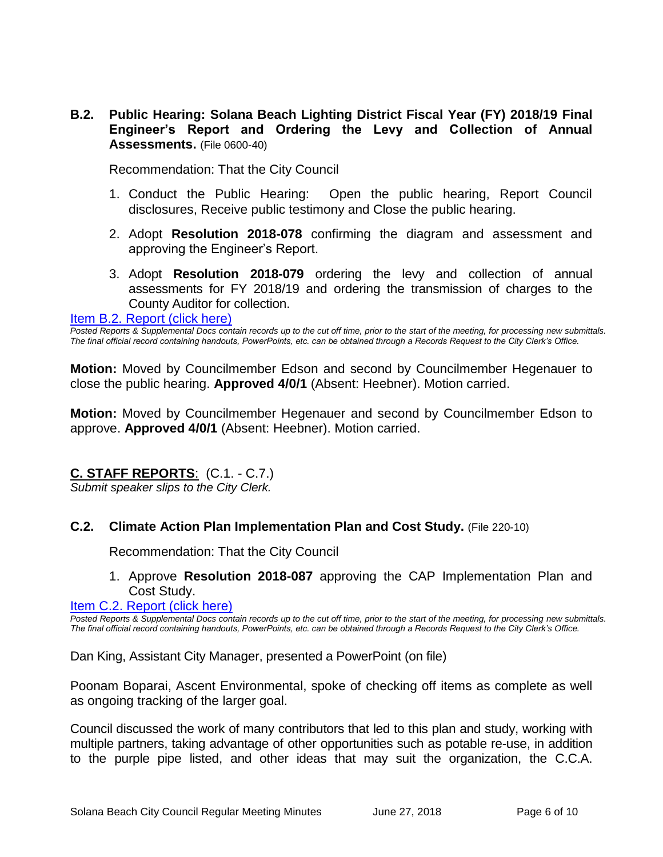**B.2. Public Hearing: Solana Beach Lighting District Fiscal Year (FY) 2018/19 Final Engineer's Report and Ordering the Levy and Collection of Annual Assessments.** (File 0600-40)

Recommendation: That the City Council

- 1. Conduct the Public Hearing: Open the public hearing, Report Council disclosures, Receive public testimony and Close the public hearing.
- 2. Adopt **Resolution 2018-078** confirming the diagram and assessment and approving the Engineer's Report.
- 3. Adopt **Resolution 2018-079** ordering the levy and collection of annual assessments for FY 2018/19 and ordering the transmission of charges to the County Auditor for collection.

#### [Item B.2. Report \(click here\)](https://solanabeach.govoffice3.com/vertical/Sites/%7B840804C2-F869-4904-9AE3-720581350CE7%7D/uploads/Item_B.2._Report_(click_here)_-06-27-18.PDF)

*Posted Reports & Supplemental Docs contain records up to the cut off time, prior to the start of the meeting, for processing new submittals. The final official record containing handouts, PowerPoints, etc. can be obtained through a Records Request to the City Clerk's Office.*

**Motion:** Moved by Councilmember Edson and second by Councilmember Hegenauer to close the public hearing. **Approved 4/0/1** (Absent: Heebner). Motion carried.

**Motion:** Moved by Councilmember Hegenauer and second by Councilmember Edson to approve. **Approved 4/0/1** (Absent: Heebner). Motion carried.

# **C. STAFF REPORTS**: (C.1. - C.7.)

*Submit speaker slips to the City Clerk.*

#### **C.2. Climate Action Plan Implementation Plan and Cost Study.** (File 220-10)

Recommendation: That the City Council

### 1. Approve **Resolution 2018-087** approving the CAP Implementation Plan and Cost Study.

[Item C.2. Report \(click here\)](https://solanabeach.govoffice3.com/vertical/Sites/%7B840804C2-F869-4904-9AE3-720581350CE7%7D/uploads/Item_C.2._Report_(click_here)_-06-27-18.pdf)

*Posted Reports & Supplemental Docs contain records up to the cut off time, prior to the start of the meeting, for processing new submittals. The final official record containing handouts, PowerPoints, etc. can be obtained through a Records Request to the City Clerk's Office.*

Dan King, Assistant City Manager, presented a PowerPoint (on file)

Poonam Boparai, Ascent Environmental, spoke of checking off items as complete as well as ongoing tracking of the larger goal.

Council discussed the work of many contributors that led to this plan and study, working with multiple partners, taking advantage of other opportunities such as potable re-use, in addition to the purple pipe listed, and other ideas that may suit the organization, the C.C.A.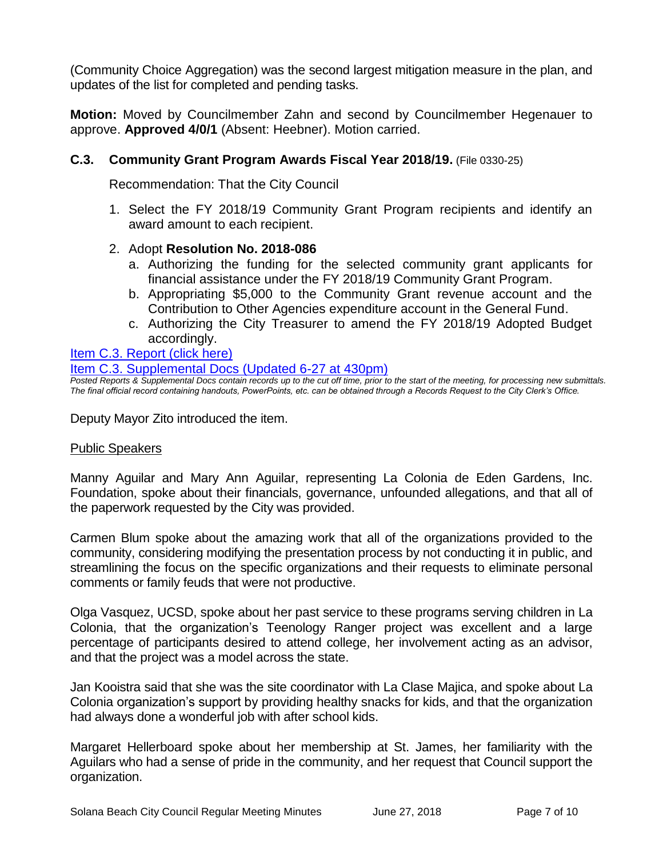(Community Choice Aggregation) was the second largest mitigation measure in the plan, and updates of the list for completed and pending tasks.

**Motion:** Moved by Councilmember Zahn and second by Councilmember Hegenauer to approve. **Approved 4/0/1** (Absent: Heebner). Motion carried.

# **C.3. Community Grant Program Awards Fiscal Year 2018/19.** (File 0330-25)

Recommendation: That the City Council

1. Select the FY 2018/19 Community Grant Program recipients and identify an award amount to each recipient.

### 2. Adopt **Resolution No. 2018-086**

- a. Authorizing the funding for the selected community grant applicants for financial assistance under the FY 2018/19 Community Grant Program.
- b. Appropriating \$5,000 to the Community Grant revenue account and the Contribution to Other Agencies expenditure account in the General Fund.
- c. Authorizing the City Treasurer to amend the FY 2018/19 Adopted Budget accordingly.

### [Item C.3. Report \(click here\)](https://solanabeach.govoffice3.com/vertical/Sites/%7B840804C2-F869-4904-9AE3-720581350CE7%7D/uploads/Item_C.3._Report_(click_here)_-06-27-18.PDF)

## Item C.3. [Supplemental Docs \(Updated 6-27](https://solanabeach.govoffice3.com/vertical/Sites/%7B840804C2-F869-4904-9AE3-720581350CE7%7D/uploads/C.3._Supplemental_Docs_6-27_(430pm).pdf) at 430pm)

*Posted Reports & Supplemental Docs contain records up to the cut off time, prior to the start of the meeting, for processing new submittals. The final official record containing handouts, PowerPoints, etc. can be obtained through a Records Request to the City Clerk's Office.*

Deputy Mayor Zito introduced the item.

#### Public Speakers

Manny Aguilar and Mary Ann Aguilar, representing La Colonia de Eden Gardens, Inc. Foundation, spoke about their financials, governance, unfounded allegations, and that all of the paperwork requested by the City was provided.

Carmen Blum spoke about the amazing work that all of the organizations provided to the community, considering modifying the presentation process by not conducting it in public, and streamlining the focus on the specific organizations and their requests to eliminate personal comments or family feuds that were not productive.

Olga Vasquez, UCSD, spoke about her past service to these programs serving children in La Colonia, that the organization's Teenology Ranger project was excellent and a large percentage of participants desired to attend college, her involvement acting as an advisor, and that the project was a model across the state.

Jan Kooistra said that she was the site coordinator with La Clase Majica, and spoke about La Colonia organization's support by providing healthy snacks for kids, and that the organization had always done a wonderful job with after school kids.

Margaret Hellerboard spoke about her membership at St. James, her familiarity with the Aguilars who had a sense of pride in the community, and her request that Council support the organization.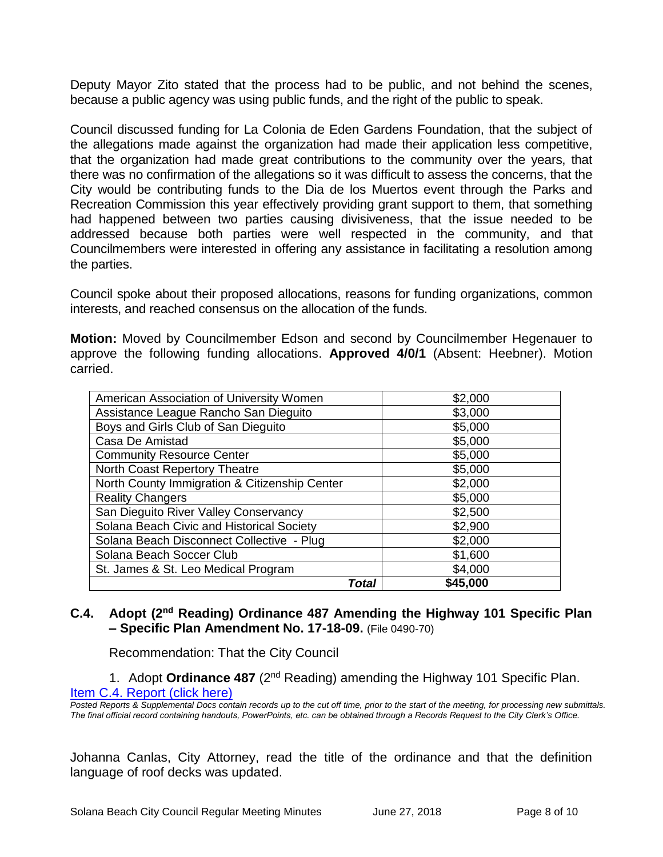Deputy Mayor Zito stated that the process had to be public, and not behind the scenes, because a public agency was using public funds, and the right of the public to speak.

Council discussed funding for La Colonia de Eden Gardens Foundation, that the subject of the allegations made against the organization had made their application less competitive, that the organization had made great contributions to the community over the years, that there was no confirmation of the allegations so it was difficult to assess the concerns, that the City would be contributing funds to the Dia de los Muertos event through the Parks and Recreation Commission this year effectively providing grant support to them, that something had happened between two parties causing divisiveness, that the issue needed to be addressed because both parties were well respected in the community, and that Councilmembers were interested in offering any assistance in facilitating a resolution among the parties.

Council spoke about their proposed allocations, reasons for funding organizations, common interests, and reached consensus on the allocation of the funds.

**Motion:** Moved by Councilmember Edson and second by Councilmember Hegenauer to approve the following funding allocations. **Approved 4/0/1** (Absent: Heebner). Motion carried.

| American Association of University Women      | \$2,000  |
|-----------------------------------------------|----------|
| Assistance League Rancho San Dieguito         | \$3,000  |
| Boys and Girls Club of San Dieguito           | \$5,000  |
| Casa De Amistad                               | \$5,000  |
| <b>Community Resource Center</b>              | \$5,000  |
| North Coast Repertory Theatre                 | \$5,000  |
| North County Immigration & Citizenship Center | \$2,000  |
| <b>Reality Changers</b>                       | \$5,000  |
| San Dieguito River Valley Conservancy         | \$2,500  |
| Solana Beach Civic and Historical Society     | \$2,900  |
| Solana Beach Disconnect Collective - Plug     | \$2,000  |
| Solana Beach Soccer Club                      | \$1,600  |
| St. James & St. Leo Medical Program           | \$4,000  |
| Total                                         | \$45,000 |

# **C.4. Adopt (2nd Reading) Ordinance 487 Amending the Highway 101 Specific Plan – Specific Plan Amendment No. 17-18-09.** (File 0490-70)

Recommendation: That the City Council

1. Adopt **Ordinance 487** (2nd Reading) amending the Highway 101 Specific Plan. [Item C.4. Report \(click here\)](https://solanabeach.govoffice3.com/vertical/Sites/%7B840804C2-F869-4904-9AE3-720581350CE7%7D/uploads/Item_C.4._Report_(click_here)_-06-27-18.PDF)

*Posted Reports & Supplemental Docs contain records up to the cut off time, prior to the start of the meeting, for processing new submittals. The final official record containing handouts, PowerPoints, etc. can be obtained through a Records Request to the City Clerk's Office.*

Johanna Canlas, City Attorney, read the title of the ordinance and that the definition language of roof decks was updated.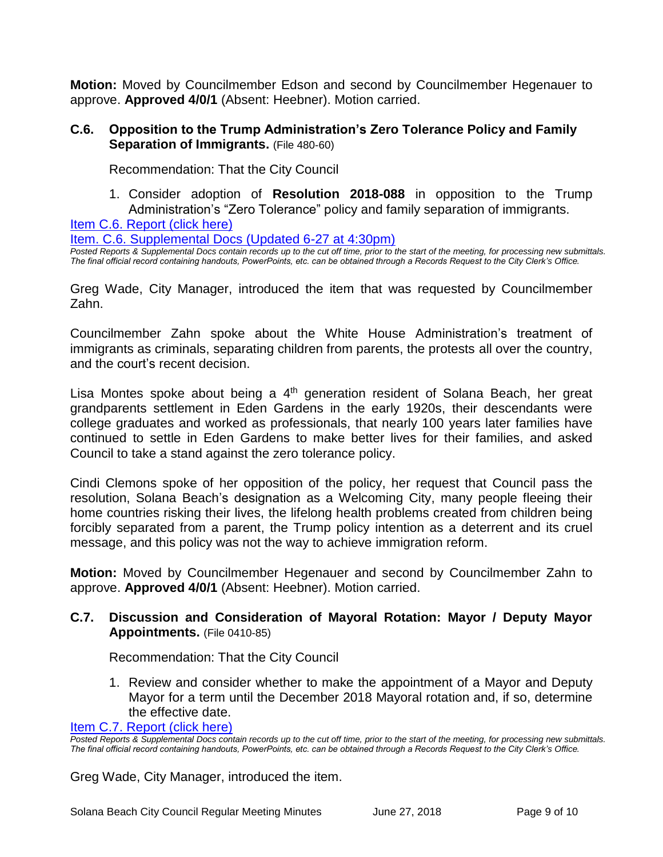**Motion:** Moved by Councilmember Edson and second by Councilmember Hegenauer to approve. **Approved 4/0/1** (Absent: Heebner). Motion carried.

# **C.6. Opposition to the Trump Administration's Zero Tolerance Policy and Family Separation of Immigrants.** (File 480-60)

Recommendation: That the City Council

1. Consider adoption of **Resolution 2018-088** in opposition to the Trump Administration's "Zero Tolerance" policy and family separation of immigrants.

[Item C.6. Report \(click](https://solanabeach.govoffice3.com/vertical/Sites/%7B840804C2-F869-4904-9AE3-720581350CE7%7D/uploads/Item_C.6._Report_(click_here)_-06-27-18_-_Updated.pdf) here)

[Item. C.6. Supplemental Docs \(Updated 6-27](https://solanabeach.govoffice3.com/vertical/Sites/%7B840804C2-F869-4904-9AE3-720581350CE7%7D/uploads/C.6._Supplemental_Docs-6-27-18_(430pm)-_R.pdf) at 4:30pm)

*Posted Reports & Supplemental Docs contain records up to the cut off time, prior to the start of the meeting, for processing new submittals. The final official record containing handouts, PowerPoints, etc. can be obtained through a Records Request to the City Clerk's Office.*

Greg Wade, City Manager, introduced the item that was requested by Councilmember Zahn.

Councilmember Zahn spoke about the White House Administration's treatment of immigrants as criminals, separating children from parents, the protests all over the country, and the court's recent decision.

Lisa Montes spoke about being a  $4<sup>th</sup>$  generation resident of Solana Beach, her great grandparents settlement in Eden Gardens in the early 1920s, their descendants were college graduates and worked as professionals, that nearly 100 years later families have continued to settle in Eden Gardens to make better lives for their families, and asked Council to take a stand against the zero tolerance policy.

Cindi Clemons spoke of her opposition of the policy, her request that Council pass the resolution, Solana Beach's designation as a Welcoming City, many people fleeing their home countries risking their lives, the lifelong health problems created from children being forcibly separated from a parent, the Trump policy intention as a deterrent and its cruel message, and this policy was not the way to achieve immigration reform.

**Motion:** Moved by Councilmember Hegenauer and second by Councilmember Zahn to approve. **Approved 4/0/1** (Absent: Heebner). Motion carried.

# **C.7. Discussion and Consideration of Mayoral Rotation: Mayor / Deputy Mayor Appointments.** (File 0410-85)

Recommendation: That the City Council

1. Review and consider whether to make the appointment of a Mayor and Deputy Mayor for a term until the December 2018 Mayoral rotation and, if so, determine the effective date.

[Item C.7. Report \(click here\)](https://solanabeach.govoffice3.com/vertical/Sites/%7B840804C2-F869-4904-9AE3-720581350CE7%7D/uploads/Item_C.7._Report_(click_here)_-06-27-18.PDF)

*Posted Reports & Supplemental Docs contain records up to the cut off time, prior to the start of the meeting, for processing new submittals. The final official record containing handouts, PowerPoints, etc. can be obtained through a Records Request to the City Clerk's Office.*

Greg Wade, City Manager, introduced the item.